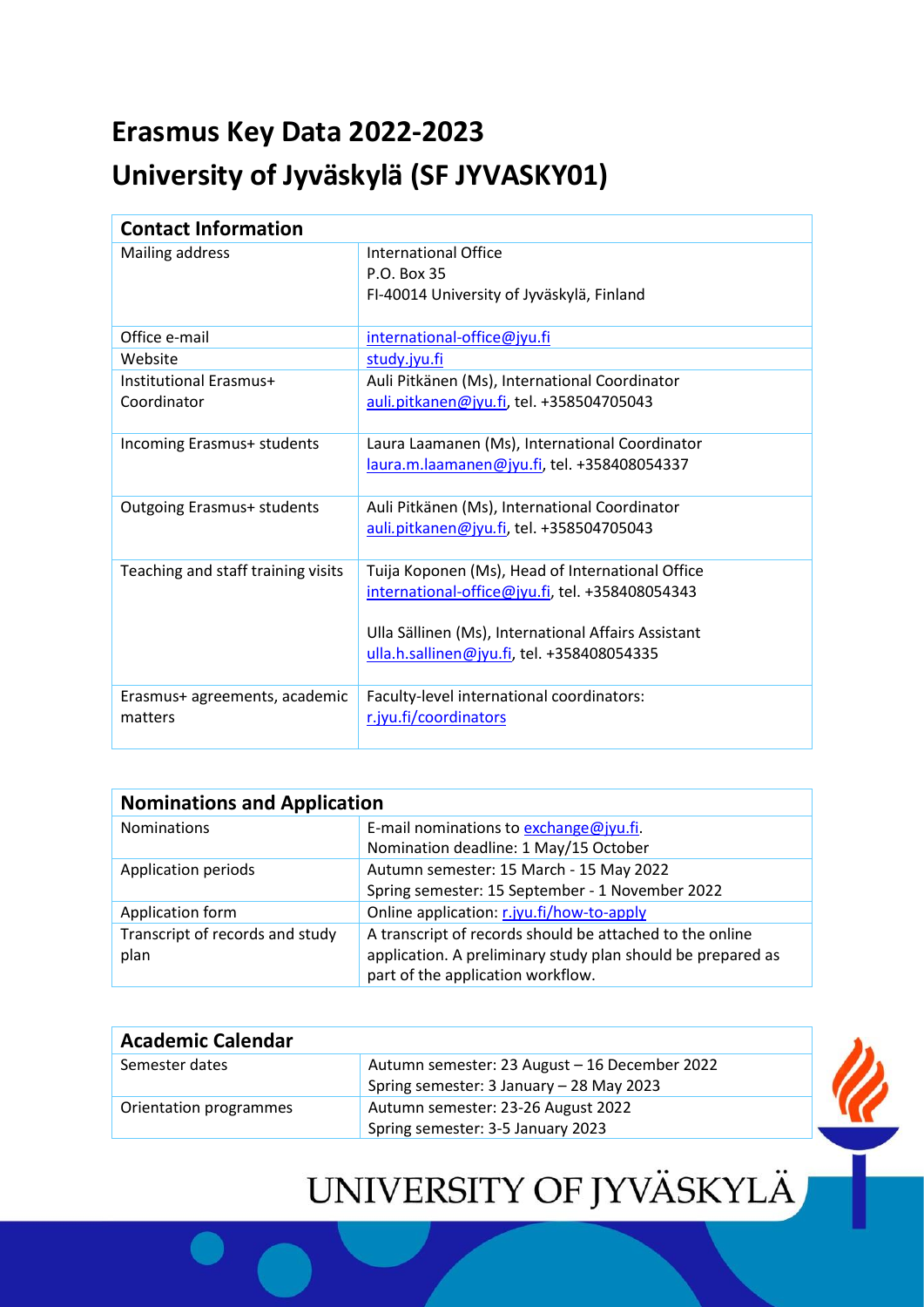## **Erasmus Key Data 2022-2023 University of Jyväskylä (SF JYVASKY01)**

| <b>Contact Information</b>               |                                                                                                                                                                                                          |  |
|------------------------------------------|----------------------------------------------------------------------------------------------------------------------------------------------------------------------------------------------------------|--|
| Mailing address                          | International Office<br>P.O. Box 35<br>FI-40014 University of Jyväskylä, Finland                                                                                                                         |  |
| Office e-mail                            | international-office@jyu.fi                                                                                                                                                                              |  |
| Website                                  | study.jyu.fi                                                                                                                                                                                             |  |
| Institutional Erasmus+<br>Coordinator    | Auli Pitkänen (Ms), International Coordinator<br>auli.pitkanen@jyu.fi, tel. +358504705043                                                                                                                |  |
| Incoming Erasmus+ students               | Laura Laamanen (Ms), International Coordinator<br>laura.m.laamanen@jyu.fi, tel. +358408054337                                                                                                            |  |
| <b>Outgoing Erasmus+ students</b>        | Auli Pitkänen (Ms), International Coordinator<br>auli.pitkanen@jyu.fi, tel. +358504705043                                                                                                                |  |
| Teaching and staff training visits       | Tuija Koponen (Ms), Head of International Office<br>international-office@jyu.fi, tel. +358408054343<br>Ulla Sällinen (Ms), International Affairs Assistant<br>ulla.h.sallinen@jyu.fi, tel. +358408054335 |  |
| Erasmus+ agreements, academic<br>matters | Faculty-level international coordinators:<br>r.jyu.fi/coordinators                                                                                                                                       |  |

| <b>Nominations and Application</b> |                                                             |
|------------------------------------|-------------------------------------------------------------|
| <b>Nominations</b>                 | E-mail nominations to exchange@jyu.fi.                      |
|                                    | Nomination deadline: 1 May/15 October                       |
| Application periods                | Autumn semester: 15 March - 15 May 2022                     |
|                                    | Spring semester: 15 September - 1 November 2022             |
| Application form                   | Online application: r.jyu.fi/how-to-apply                   |
| Transcript of records and study    | A transcript of records should be attached to the online    |
| plan                               | application. A preliminary study plan should be prepared as |
|                                    | part of the application workflow.                           |

| <b>Academic Calendar</b> |                                                                                           |  |
|--------------------------|-------------------------------------------------------------------------------------------|--|
| Semester dates           | Autumn semester: 23 August - 16 December 2022<br>Spring semester: 3 January - 28 May 2023 |  |
| Orientation programmes   | Autumn semester: 23-26 August 2022                                                        |  |
|                          | Spring semester: 3-5 January 2023                                                         |  |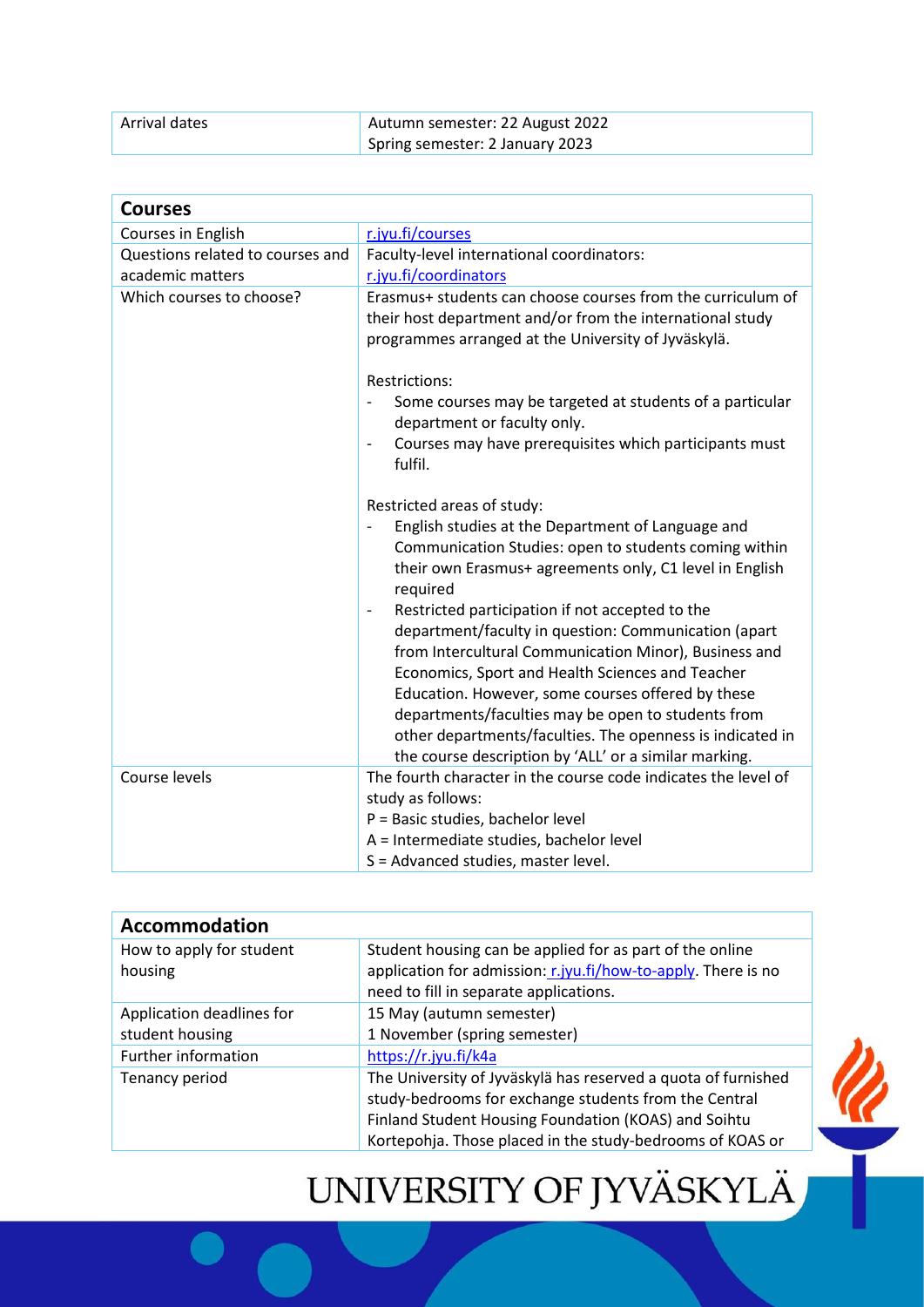| Arrival dates | Autumn semester: 22 August 2022 |
|---------------|---------------------------------|
|               | Spring semester: 2 January 2023 |

| <b>Courses</b>                   |                                                                                                                                                                                                                                                                                                                                                                                                                                                                                                                                                                                                                                                                                                                                                                                        |
|----------------------------------|----------------------------------------------------------------------------------------------------------------------------------------------------------------------------------------------------------------------------------------------------------------------------------------------------------------------------------------------------------------------------------------------------------------------------------------------------------------------------------------------------------------------------------------------------------------------------------------------------------------------------------------------------------------------------------------------------------------------------------------------------------------------------------------|
| Courses in English               | r.jyu.fi/courses                                                                                                                                                                                                                                                                                                                                                                                                                                                                                                                                                                                                                                                                                                                                                                       |
| Questions related to courses and | Faculty-level international coordinators:                                                                                                                                                                                                                                                                                                                                                                                                                                                                                                                                                                                                                                                                                                                                              |
| academic matters                 | r.jyu.fi/coordinators                                                                                                                                                                                                                                                                                                                                                                                                                                                                                                                                                                                                                                                                                                                                                                  |
| Which courses to choose?         | Erasmus+ students can choose courses from the curriculum of<br>their host department and/or from the international study<br>programmes arranged at the University of Jyväskylä.<br>Restrictions:<br>Some courses may be targeted at students of a particular<br>$\overline{\phantom{0}}$<br>department or faculty only.<br>Courses may have prerequisites which participants must<br>$\qquad \qquad \blacksquare$<br>fulfil.<br>Restricted areas of study:<br>English studies at the Department of Language and<br>Communication Studies: open to students coming within<br>their own Erasmus+ agreements only, C1 level in English<br>required<br>Restricted participation if not accepted to the<br>$\overline{\phantom{a}}$<br>department/faculty in question: Communication (apart |
|                                  | from Intercultural Communication Minor), Business and<br>Economics, Sport and Health Sciences and Teacher<br>Education. However, some courses offered by these<br>departments/faculties may be open to students from<br>other departments/faculties. The openness is indicated in<br>the course description by 'ALL' or a similar marking.                                                                                                                                                                                                                                                                                                                                                                                                                                             |
| Course levels                    | The fourth character in the course code indicates the level of                                                                                                                                                                                                                                                                                                                                                                                                                                                                                                                                                                                                                                                                                                                         |
|                                  | study as follows:                                                                                                                                                                                                                                                                                                                                                                                                                                                                                                                                                                                                                                                                                                                                                                      |
|                                  | P = Basic studies, bachelor level                                                                                                                                                                                                                                                                                                                                                                                                                                                                                                                                                                                                                                                                                                                                                      |
|                                  | A = Intermediate studies, bachelor level                                                                                                                                                                                                                                                                                                                                                                                                                                                                                                                                                                                                                                                                                                                                               |
|                                  | S = Advanced studies, master level.                                                                                                                                                                                                                                                                                                                                                                                                                                                                                                                                                                                                                                                                                                                                                    |

| Student housing can be applied for as part of the online<br>application for admission: r.jyu.fi/how-to-apply. There is no<br>need to fill in separate applications.            |                                                                                   |
|--------------------------------------------------------------------------------------------------------------------------------------------------------------------------------|-----------------------------------------------------------------------------------|
| 15 May (autumn semester)<br>1 November (spring semester)                                                                                                                       |                                                                                   |
| The University of Jyväskylä has reserved a quota of furnished<br>study-bedrooms for exchange students from the Central<br>Finland Student Housing Foundation (KOAS) and Soihtu |                                                                                   |
|                                                                                                                                                                                | https://r.jyu.fi/k4a<br>Kortepohja. Those placed in the study-bedrooms of KOAS or |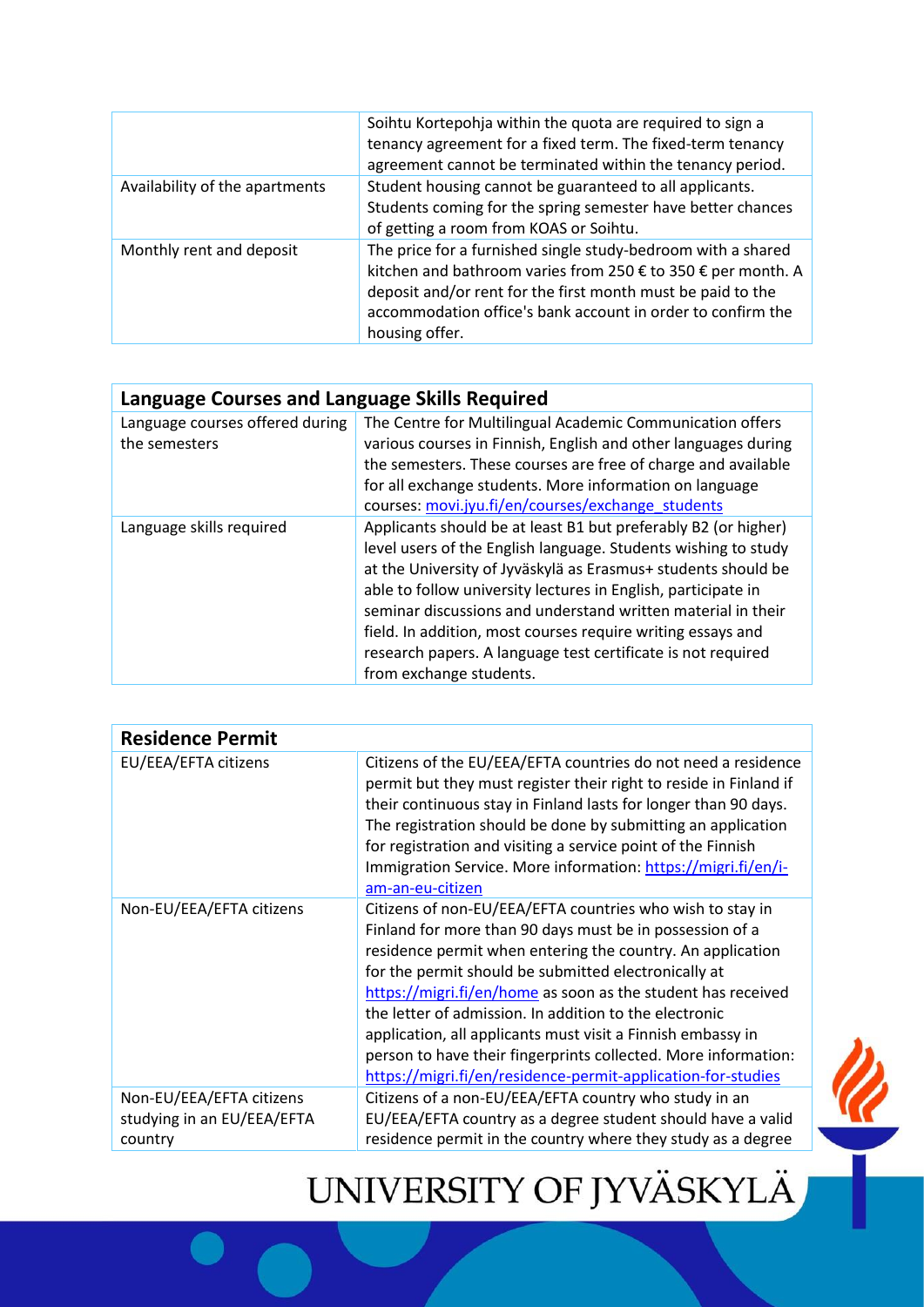|                                | Soihtu Kortepohja within the quota are required to sign a<br>tenancy agreement for a fixed term. The fixed-term tenancy<br>agreement cannot be terminated within the tenancy period.                                                                                         |
|--------------------------------|------------------------------------------------------------------------------------------------------------------------------------------------------------------------------------------------------------------------------------------------------------------------------|
| Availability of the apartments | Student housing cannot be guaranteed to all applicants.<br>Students coming for the spring semester have better chances<br>of getting a room from KOAS or Soihtu.                                                                                                             |
| Monthly rent and deposit       | The price for a furnished single study-bedroom with a shared<br>kitchen and bathroom varies from 250 € to 350 € per month. A<br>deposit and/or rent for the first month must be paid to the<br>accommodation office's bank account in order to confirm the<br>housing offer. |

| Language Courses and Language Skills Required    |                                                                                                                                                                                                                                                                                                                                                                                                                                                                                              |  |
|--------------------------------------------------|----------------------------------------------------------------------------------------------------------------------------------------------------------------------------------------------------------------------------------------------------------------------------------------------------------------------------------------------------------------------------------------------------------------------------------------------------------------------------------------------|--|
| Language courses offered during<br>the semesters | The Centre for Multilingual Academic Communication offers<br>various courses in Finnish, English and other languages during<br>the semesters. These courses are free of charge and available<br>for all exchange students. More information on language<br>courses: movi.jyu.fi/en/courses/exchange students                                                                                                                                                                                 |  |
| Language skills required                         | Applicants should be at least B1 but preferably B2 (or higher)<br>level users of the English language. Students wishing to study<br>at the University of Jyväskylä as Erasmus+ students should be<br>able to follow university lectures in English, participate in<br>seminar discussions and understand written material in their<br>field. In addition, most courses require writing essays and<br>research papers. A language test certificate is not required<br>from exchange students. |  |

| <b>Residence Permit</b>                                           |                                                                                                                                                                                                                                                                                                                                                                                                                                                                                                                                                                        |
|-------------------------------------------------------------------|------------------------------------------------------------------------------------------------------------------------------------------------------------------------------------------------------------------------------------------------------------------------------------------------------------------------------------------------------------------------------------------------------------------------------------------------------------------------------------------------------------------------------------------------------------------------|
| EU/EEA/EFTA citizens                                              | Citizens of the EU/EEA/EFTA countries do not need a residence<br>permit but they must register their right to reside in Finland if<br>their continuous stay in Finland lasts for longer than 90 days.<br>The registration should be done by submitting an application<br>for registration and visiting a service point of the Finnish<br>Immigration Service. More information: https://migri.fi/en/i-<br>am-an-eu-citizen                                                                                                                                             |
| Non-EU/EEA/EFTA citizens                                          | Citizens of non-EU/EEA/EFTA countries who wish to stay in<br>Finland for more than 90 days must be in possession of a<br>residence permit when entering the country. An application<br>for the permit should be submitted electronically at<br>https://migri.fi/en/home as soon as the student has received<br>the letter of admission. In addition to the electronic<br>application, all applicants must visit a Finnish embassy in<br>person to have their fingerprints collected. More information:<br>https://migri.fi/en/residence-permit-application-for-studies |
| Non-EU/EEA/EFTA citizens<br>studying in an EU/EEA/EFTA<br>country | Citizens of a non-EU/EEA/EFTA country who study in an<br>EU/EEA/EFTA country as a degree student should have a valid<br>residence permit in the country where they study as a degree                                                                                                                                                                                                                                                                                                                                                                                   |